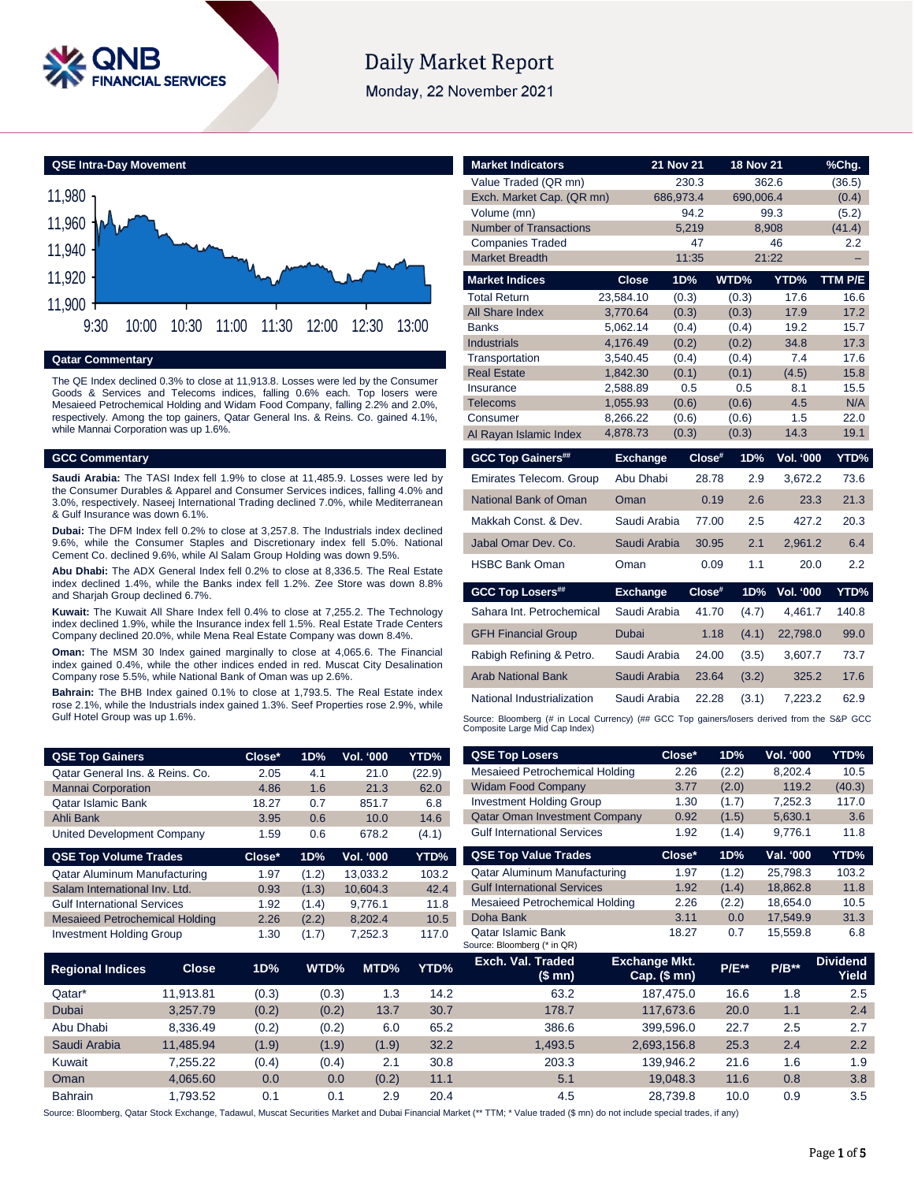

# **Daily Market Report**

Monday, 22 November 2021

**QSE Intra-Day Movement**



**Qatar Commentary**

The QE Index declined 0.3% to close at 11,913.8. Losses were led by the Consumer Goods & Services and Telecoms indices, falling 0.6% each. Top losers were Mesaieed Petrochemical Holding and Widam Food Company, falling 2.2% and 2.0%, respectively. Among the top gainers, Qatar General Ins. & Reins. Co. gained 4.1%, while Mannai Corporation was up 1.6%.

### **GCC Commentary**

**Saudi Arabia:** The TASI Index fell 1.9% to close at 11,485.9. Losses were led by the Consumer Durables & Apparel and Consumer Services indices, falling 4.0% and 3.0%, respectively. Naseej International Trading declined 7.0%, while Mediterranean & Gulf Insurance was down 6.1%.

**Dubai:** The DFM Index fell 0.2% to close at 3,257.8. The Industrials index declined 9.6%, while the Consumer Staples and Discretionary index fell 5.0%. National Cement Co. declined 9.6%, while Al Salam Group Holding was down 9.5%.

**Abu Dhabi:** The ADX General Index fell 0.2% to close at 8,336.5. The Real Estate index declined 1.4%, while the Banks index fell 1.2%. Zee Store was down 8.8% and Sharjah Group declined 6.7%.

**Kuwait:** The Kuwait All Share Index fell 0.4% to close at 7,255.2. The Technology index declined 1.9%, while the Insurance index fell 1.5%. Real Estate Trade Centers Company declined 20.0%, while Mena Real Estate Company was down 8.4%.

**Oman:** The MSM 30 Index gained marginally to close at 4,065.6. The Financial index gained 0.4%, while the other indices ended in red. Muscat City Desalination Company rose 5.5%, while National Bank of Oman was up 2.6%.

**Bahrain:** The BHB Index gained 0.1% to close at 1,793.5. The Real Estate index rose 2.1%, while the Industrials index gained 1.3%. Seef Properties rose 2.9%, while Gulf Hotel Group was up 1.6%.

| <b>QSE Top Gainers</b>          | Close* | 1D% | <b>Vol. '000</b> | YTD%   |
|---------------------------------|--------|-----|------------------|--------|
| Qatar General Ins. & Reins. Co. | 2.05   | 4.1 | 21.0             | (22.9) |
| <b>Mannai Corporation</b>       | 4.86   | 1.6 | 21.3             | 62.0   |
| <b>Qatar Islamic Bank</b>       | 18.27  | 0.7 | 851.7            | 6.8    |
| Ahli Bank                       | 3.95   | 0.6 | 10.0             | 14.6   |
| United Development Company      | 1.59   | 0.6 | 678.2            | (4.1)  |

| <b>QSE Top Volume Trades</b>          | Close* | 1D%   | Vol. '000 | YTD%  |
|---------------------------------------|--------|-------|-----------|-------|
| Qatar Aluminum Manufacturing          | 1.97   | (1.2) | 13.033.2  | 103.2 |
| Salam International Inv. Ltd.         | 0.93   | (1.3) | 10.604.3  | 42.4  |
| <b>Gulf International Services</b>    | 1.92   | (1.4) | 9.776.1   | 11.8  |
| <b>Mesaieed Petrochemical Holding</b> | 2.26   | (2.2) | 8.202.4   | 10.5  |
| <b>Investment Holding Group</b>       | 1.30   | (1.7) | 7.252.3   | 117.0 |

| <b>Market Indicators</b>                                                                                                      |                      | 21 Nov 21        |        | <b>18 Nov 21</b> |                     | %Chg.        |
|-------------------------------------------------------------------------------------------------------------------------------|----------------------|------------------|--------|------------------|---------------------|--------------|
| Value Traded (QR mn)                                                                                                          |                      | 230.3            |        |                  | 362.6               | (36.5)       |
| Exch. Market Cap. (QR mn)                                                                                                     |                      | 686,973.4        |        | 690,006.4        |                     | (0.4)        |
| Volume (mn)                                                                                                                   |                      | 94.2             |        |                  | 99.3                | (5.2)        |
| <b>Number of Transactions</b>                                                                                                 |                      | 5.219            |        |                  | 8,908               | (41.4)       |
| <b>Companies Traded</b>                                                                                                       |                      | 47               |        |                  | 46                  | 2.2          |
| <b>Market Breadth</b>                                                                                                         |                      | 11:35            |        |                  | 21:22               | ÷,           |
| <b>Market Indices</b>                                                                                                         | <b>Close</b>         | 1D%              |        | WTD%             | YTD%                | TTM P/E      |
| <b>Total Return</b>                                                                                                           | 23,584.10            | (0.3)            |        | (0.3)            | 17.6                | 16.6         |
| <b>All Share Index</b>                                                                                                        | 3,770.64             | (0.3)            |        | (0.3)            | 17.9                | 17.2         |
| <b>Banks</b>                                                                                                                  | 5.062.14             | (0.4)            |        | (0.4)            | 19.2                | 15.7         |
| <b>Industrials</b>                                                                                                            | 4.176.49             | (0.2)            |        | (0.2)            | 34.8                | 17.3         |
| Transportation                                                                                                                | 3,540.45             | (0.4)            |        | (0.4)            | 7.4                 | 17.6         |
| <b>Real Estate</b><br>Insurance                                                                                               | 1,842.30<br>2,588.89 | (0.1)<br>0.5     |        | (0.1)<br>0.5     | (4.5)<br>8.1        | 15.8<br>15.5 |
| Telecoms                                                                                                                      | 1,055.93             | (0.6)            |        | (0.6)            | 4.5                 | N/A          |
| Consumer                                                                                                                      | 8,266.22             | (0.6)            |        | (0.6)            | 1.5                 | 22.0         |
| Al Rayan Islamic Index                                                                                                        | 4,878.73             | (0.3)            |        | (0.3)            | 14.3                | 19.1         |
| <b>GCC Top Gainers##</b>                                                                                                      | <b>Exchange</b>      |                  | Close# | 1D%              | <b>Vol. '000</b>    | YTD%         |
| <b>Emirates Telecom. Group</b>                                                                                                | Abu Dhabi            |                  | 28.78  | 2.9              | 3,672.2             | 73.6         |
| National Bank of Oman                                                                                                         | Oman                 |                  | 0.19   | 2.6              | 23.3                | 21.3         |
| Makkah Const, & Dev.                                                                                                          | Saudi Arabia         |                  | 77.00  | 2.5              | 427.2               | 20.3         |
| Jabal Omar Dev. Co.                                                                                                           | Saudi Arabia         |                  | 30.95  | 2.1              | 2,961.2             | 6.4          |
| <b>HSBC Bank Oman</b>                                                                                                         | Oman                 |                  | 0.09   | 1.1              | 20.0                | 2.2          |
| <b>GCC Top Losers##</b>                                                                                                       | <b>Exchange</b>      |                  | Close# | 1D%              | Vol. '000           | YTD%         |
| Sahara Int. Petrochemical                                                                                                     | Saudi Arabia         |                  | 41.70  | (4.7)            | 4,461.7             | 140.8        |
| <b>GFH Financial Group</b>                                                                                                    | Dubai                |                  | 1.18   | (4.1)            | 22,798.0            | 99.0         |
| Rabigh Refining & Petro.                                                                                                      | Saudi Arabia         |                  | 24.00  | (3.5)            | 3,607.7             | 73.7         |
| <b>Arab National Bank</b>                                                                                                     | Saudi Arabia         |                  | 23.64  | (3.2)            | 325.2               | 17.6         |
| National Industrialization                                                                                                    | Saudi Arabia         |                  | 22.28  | (3.1)            | 7.223.2             | 62.9         |
| Source: Bloomberg (# in Local Currency) (## GCC Top gainers/losers derived from the S&P GCC<br>Composite Large Mid Cap Index) |                      |                  |        |                  |                     |              |
| <b>QSE Top Losers</b><br>Mocaiood Potrochomical Holding                                                                       |                      | $Close*$<br>າ າຂ |        | 1D%<br>(2.2)     | Vol. '000<br>0.202A | YTD%         |

|   | <b>QSE Top Losers</b>                             | Close*                                 | 1D%          | <b>Vol. '000</b> | YTD%                     |
|---|---------------------------------------------------|----------------------------------------|--------------|------------------|--------------------------|
|   | Mesaieed Petrochemical Holding                    | 2.26                                   | (2.2)        | 8.202.4          | 10.5                     |
|   | <b>Widam Food Company</b>                         | 3.77                                   | (2.0)        | 119.2            | (40.3)                   |
|   | <b>Investment Holding Group</b>                   | 1.30                                   | (1.7)        | 7,252.3          | 117.0                    |
|   | <b>Qatar Oman Investment Company</b>              | 0.92                                   | (1.5)        | 5.630.1          | 3.6                      |
|   | <b>Gulf International Services</b>                | 1.92                                   | (1.4)        | 9.776.1          | 11.8                     |
|   | <b>QSE Top Value Trades</b>                       | Close*                                 | 1D%          | Val. '000        | YTD%                     |
|   | Qatar Aluminum Manufacturing                      | 1.97                                   | (1.2)        | 25.798.3         | 103.2                    |
|   | <b>Gulf International Services</b>                | 1.92                                   | (1.4)        | 18.862.8         | 11.8                     |
|   | Mesaieed Petrochemical Holding                    | 2.26                                   | (2.2)        | 18.654.0         | 10.5                     |
|   | Doha Bank                                         | 3.11                                   | 0.0          | 17.549.9         | 31.3                     |
|   | Qatar Islamic Bank<br>Source: Bloomberg (* in QR) | 18.27                                  | 0.7          | 15.559.8         | 6.8                      |
| 6 | Exch. Val. Traded<br>(\$ mn)                      | <b>Exchange Mkt.</b><br>$Cap.$ (\$ mn) | <b>P/E**</b> | $P/B***$         | <b>Dividend</b><br>Yield |

| <b>Regional Indices</b> | <b>Close</b> | 1D%   | WTD%  | MTD%  | YTD% | Exch. Val. Traded<br>(\$ mn) | <b>Exchange Mkt.</b><br>Cap. $($mn)$ | <b>P/E**</b> | $P/B**$ | <b>Dividend</b><br>Yield |
|-------------------------|--------------|-------|-------|-------|------|------------------------------|--------------------------------------|--------------|---------|--------------------------|
| Qatar*                  | 11.913.81    | (0.3) | (0.3) | 1.3   | 14.2 | 63.2                         | 187.475.0                            | 16.6         | 1.8     | 2.5                      |
| <b>Dubai</b>            | 3.257.79     | (0.2) | (0.2) | 13.7  | 30.7 | 178.7                        | 117.673.6                            | 20.0         | 1.1     | 2.4                      |
| Abu Dhabi               | 8.336.49     | (0.2) | (0.2) | 6.0   | 65.2 | 386.6                        | 399.596.0                            | 22.7         | 2.5     | 2.7                      |
| Saudi Arabia            | 11.485.94    | (1.9) | (1.9) | (1.9) | 32.2 | 1.493.5                      | 2.693.156.8                          | 25.3         | 2.4     | 2.2                      |
| Kuwait                  | 7.255.22     | (0.4) | (0.4) | 2.1   | 30.8 | 203.3                        | 139.946.2                            | 21.6         | 1.6     | 1.9                      |
| Oman                    | 4.065.60     | 0.0   | 0.0   | (0.2) | 11.1 | 5.1                          | 19.048.3                             | 11.6         | 0.8     | 3.8                      |
| <b>Bahrain</b>          | .793.52      | 0.1   | 0.1   | 2.9   | 20.4 | 4.5                          | 28.739.8                             | 10.0         | 0.9     | 3.5                      |

Source: Bloomberg, Qatar Stock Exchange, Tadawul, Muscat Securities Market and Dubai Financial Market (\*\* TTM; \* Value traded (\$ mn) do not include special trades, if any)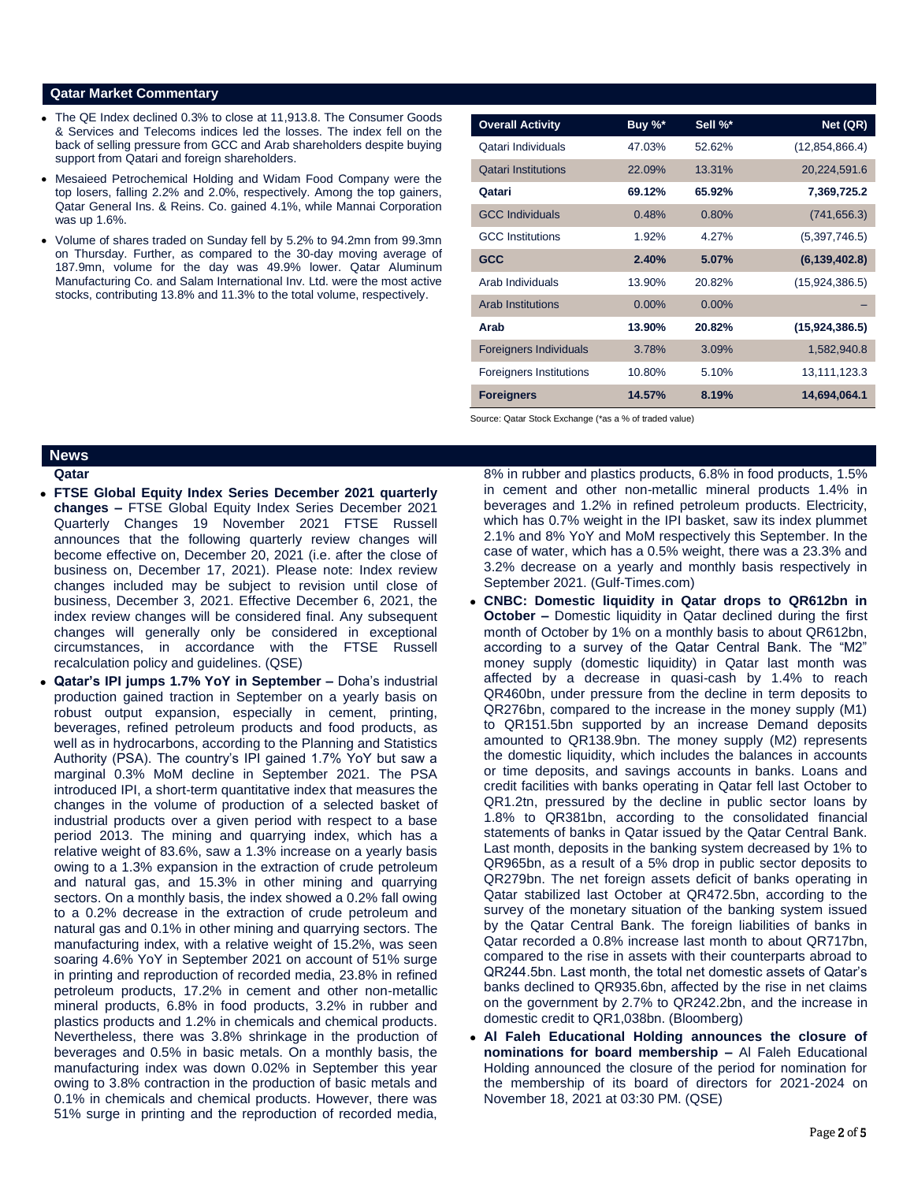### **Qatar Market Commentary**

- The QE Index declined 0.3% to close at 11,913.8. The Consumer Goods & Services and Telecoms indices led the losses. The index fell on the back of selling pressure from GCC and Arab shareholders despite buying support from Qatari and foreign shareholders.
- Mesaieed Petrochemical Holding and Widam Food Company were the top losers, falling 2.2% and 2.0%, respectively. Among the top gainers, Qatar General Ins. & Reins. Co. gained 4.1%, while Mannai Corporation was up 1.6%.
- Volume of shares traded on Sunday fell by 5.2% to 94.2mn from 99.3mn on Thursday. Further, as compared to the 30-day moving average of 187.9mn, volume for the day was 49.9% lower. Qatar Aluminum Manufacturing Co. and Salam International Inv. Ltd. were the most active stocks, contributing 13.8% and 11.3% to the total volume, respectively.

| <b>Overall Activity</b>        | Buy %*   | Sell %*  | Net (QR)        |
|--------------------------------|----------|----------|-----------------|
| Qatari Individuals             | 47.03%   | 52.62%   | (12,854,866.4)  |
| <b>Qatari Institutions</b>     | 22.09%   | 13.31%   | 20,224,591.6    |
| Qatari                         | 69.12%   | 65.92%   | 7,369,725.2     |
| <b>GCC Individuals</b>         | 0.48%    | 0.80%    | (741, 656.3)    |
| <b>GCC</b> Institutions        | 1.92%    | 4.27%    | (5,397,746.5)   |
| <b>GCC</b>                     | 2.40%    | 5.07%    | (6, 139, 402.8) |
| Arab Individuals               | 13.90%   | 20.82%   | (15,924,386.5)  |
| <b>Arab Institutions</b>       | $0.00\%$ | $0.00\%$ |                 |
| Arab                           | 13.90%   | 20.82%   | (15,924,386.5)  |
| <b>Foreigners Individuals</b>  | 3.78%    | 3.09%    | 1,582,940.8     |
| <b>Foreigners Institutions</b> | 10.80%   | 5.10%    | 13,111,123.3    |
| <b>Foreigners</b>              | 14.57%   | 8.19%    | 14,694,064.1    |

Source: Qatar Stock Exchange (\*as a % of traded value)

# **News**

- **Qatar**
- **FTSE Global Equity Index Series December 2021 quarterly changes –** FTSE Global Equity Index Series December 2021 Quarterly Changes 19 November 2021 FTSE Russell announces that the following quarterly review changes will become effective on, December 20, 2021 (i.e. after the close of business on, December 17, 2021). Please note: Index review changes included may be subject to revision until close of business, December 3, 2021. Effective December 6, 2021, the index review changes will be considered final. Any subsequent changes will generally only be considered in exceptional circumstances, in accordance with the FTSE Russell recalculation policy and guidelines. (QSE)
- **Qatar's IPI jumps 1.7% YoY in September –** Doha's industrial production gained traction in September on a yearly basis on robust output expansion, especially in cement, printing, beverages, refined petroleum products and food products, as well as in hydrocarbons, according to the Planning and Statistics Authority (PSA). The country's IPI gained 1.7% YoY but saw a marginal 0.3% MoM decline in September 2021. The PSA introduced IPI, a short-term quantitative index that measures the changes in the volume of production of a selected basket of industrial products over a given period with respect to a base period 2013. The mining and quarrying index, which has a relative weight of 83.6%, saw a 1.3% increase on a yearly basis owing to a 1.3% expansion in the extraction of crude petroleum and natural gas, and 15.3% in other mining and quarrying sectors. On a monthly basis, the index showed a 0.2% fall owing to a 0.2% decrease in the extraction of crude petroleum and natural gas and 0.1% in other mining and quarrying sectors. The manufacturing index, with a relative weight of 15.2%, was seen soaring 4.6% YoY in September 2021 on account of 51% surge in printing and reproduction of recorded media, 23.8% in refined petroleum products, 17.2% in cement and other non-metallic mineral products, 6.8% in food products, 3.2% in rubber and plastics products and 1.2% in chemicals and chemical products. Nevertheless, there was 3.8% shrinkage in the production of beverages and 0.5% in basic metals. On a monthly basis, the manufacturing index was down 0.02% in September this year owing to 3.8% contraction in the production of basic metals and 0.1% in chemicals and chemical products. However, there was 51% surge in printing and the reproduction of recorded media,

8% in rubber and plastics products, 6.8% in food products, 1.5% in cement and other non-metallic mineral products 1.4% in beverages and 1.2% in refined petroleum products. Electricity, which has 0.7% weight in the IPI basket, saw its index plummet 2.1% and 8% YoY and MoM respectively this September. In the case of water, which has a 0.5% weight, there was a 23.3% and 3.2% decrease on a yearly and monthly basis respectively in September 2021. (Gulf-Times.com)

- **CNBC: Domestic liquidity in Qatar drops to QR612bn in October –** Domestic liquidity in Qatar declined during the first month of October by 1% on a monthly basis to about QR612bn, according to a survey of the Qatar Central Bank. The "M2" money supply (domestic liquidity) in Qatar last month was affected by a decrease in quasi-cash by 1.4% to reach QR460bn, under pressure from the decline in term deposits to QR276bn, compared to the increase in the money supply (M1) to QR151.5bn supported by an increase Demand deposits amounted to QR138.9bn. The money supply (M2) represents the domestic liquidity, which includes the balances in accounts or time deposits, and savings accounts in banks. Loans and credit facilities with banks operating in Qatar fell last October to QR1.2tn, pressured by the decline in public sector loans by 1.8% to QR381bn, according to the consolidated financial statements of banks in Qatar issued by the Qatar Central Bank. Last month, deposits in the banking system decreased by 1% to QR965bn, as a result of a 5% drop in public sector deposits to QR279bn. The net foreign assets deficit of banks operating in Qatar stabilized last October at QR472.5bn, according to the survey of the monetary situation of the banking system issued by the Qatar Central Bank. The foreign liabilities of banks in Qatar recorded a 0.8% increase last month to about QR717bn, compared to the rise in assets with their counterparts abroad to QR244.5bn. Last month, the total net domestic assets of Qatar's banks declined to QR935.6bn, affected by the rise in net claims on the government by 2.7% to QR242.2bn, and the increase in domestic credit to QR1,038bn. (Bloomberg)
- **Al Faleh Educational Holding announces the closure of nominations for board membership –** Al Faleh Educational Holding announced the closure of the period for nomination for the membership of its board of directors for 2021-2024 on November 18, 2021 at 03:30 PM. (QSE)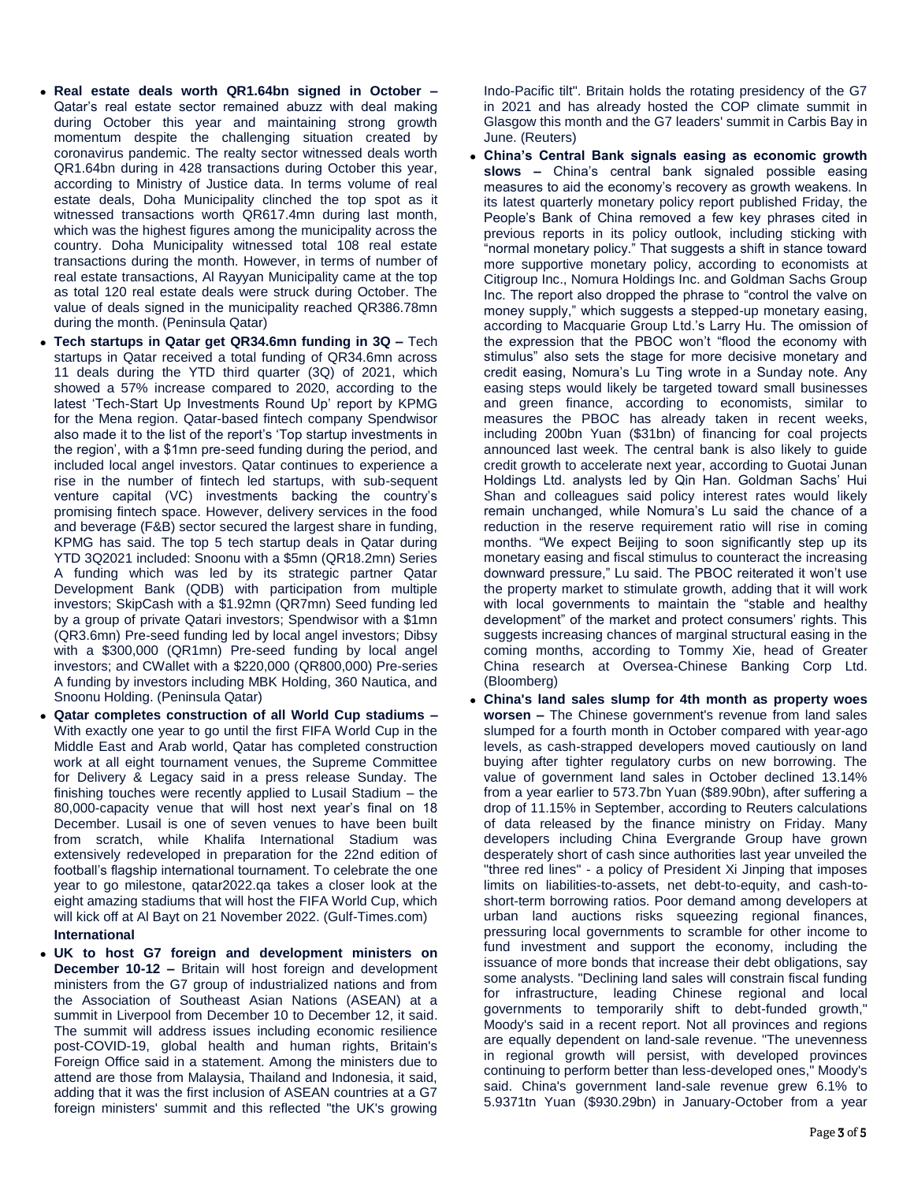- **Real estate deals worth QR1.64bn signed in October –** Qatar's real estate sector remained abuzz with deal making during October this year and maintaining strong growth momentum despite the challenging situation created by coronavirus pandemic. The realty sector witnessed deals worth QR1.64bn during in 428 transactions during October this year, according to Ministry of Justice data. In terms volume of real estate deals, Doha Municipality clinched the top spot as it witnessed transactions worth QR617.4mn during last month, which was the highest figures among the municipality across the country. Doha Municipality witnessed total 108 real estate transactions during the month. However, in terms of number of real estate transactions, Al Rayyan Municipality came at the top as total 120 real estate deals were struck during October. The value of deals signed in the municipality reached QR386.78mn during the month. (Peninsula Qatar)
- **Tech startups in Qatar get QR34.6mn funding in 3Q –** Tech startups in Qatar received a total funding of QR34.6mn across 11 deals during the YTD third quarter (3Q) of 2021, which showed a 57% increase compared to 2020, according to the latest 'Tech-Start Up Investments Round Up' report by KPMG for the Mena region. Qatar-based fintech company Spendwisor also made it to the list of the report's 'Top startup investments in the region', with a \$1mn pre-seed funding during the period, and included local angel investors. Qatar continues to experience a rise in the number of fintech led startups, with sub-sequent venture capital (VC) investments backing the country's promising fintech space. However, delivery services in the food and beverage (F&B) sector secured the largest share in funding, KPMG has said. The top 5 tech startup deals in Qatar during YTD 3Q2021 included: Snoonu with a \$5mn (QR18.2mn) Series A funding which was led by its strategic partner Qatar Development Bank (QDB) with participation from multiple investors; SkipCash with a \$1.92mn (QR7mn) Seed funding led by a group of private Qatari investors; Spendwisor with a \$1mn (QR3.6mn) Pre-seed funding led by local angel investors; Dibsy with a \$300,000 (QR1mn) Pre-seed funding by local angel investors; and CWallet with a \$220,000 (QR800,000) Pre-series A funding by investors including MBK Holding, 360 Nautica, and Snoonu Holding. (Peninsula Qatar)
- **Qatar completes construction of all World Cup stadiums –** With exactly one year to go until the first FIFA World Cup in the Middle East and Arab world, Qatar has completed construction work at all eight tournament venues, the Supreme Committee for Delivery & Legacy said in a press release Sunday. The finishing touches were recently applied to Lusail Stadium – the 80,000-capacity venue that will host next year's final on 18 December. Lusail is one of seven venues to have been built from scratch, while Khalifa International Stadium was extensively redeveloped in preparation for the 22nd edition of football's flagship international tournament. To celebrate the one year to go milestone, qatar2022.qa takes a closer look at the eight amazing stadiums that will host the FIFA World Cup, which will kick off at Al Bayt on 21 November 2022. (Gulf-Times.com) **International**
- **UK to host G7 foreign and development ministers on December 10-12 –** Britain will host foreign and development ministers from the G7 group of industrialized nations and from the Association of Southeast Asian Nations (ASEAN) at a summit in Liverpool from December 10 to December 12, it said. The summit will address issues including economic resilience post-COVID-19, global health and human rights, Britain's Foreign Office said in a statement. Among the ministers due to attend are those from Malaysia, Thailand and Indonesia, it said, adding that it was the first inclusion of ASEAN countries at a G7 foreign ministers' summit and this reflected "the UK's growing

Indo-Pacific tilt". Britain holds the rotating presidency of the G7 in 2021 and has already hosted the COP climate summit in Glasgow this month and the G7 leaders' summit in Carbis Bay in June. (Reuters)

- **China's Central Bank signals easing as economic growth slows –** China's central bank signaled possible easing measures to aid the economy's recovery as growth weakens. In its latest quarterly monetary policy report published Friday, the People's Bank of China removed a few key phrases cited in previous reports in its policy outlook, including sticking with "normal monetary policy." That suggests a shift in stance toward more supportive monetary policy, according to economists at Citigroup Inc., Nomura Holdings Inc. and Goldman Sachs Group Inc. The report also dropped the phrase to "control the valve on money supply," which suggests a stepped-up monetary easing, according to Macquarie Group Ltd.'s Larry Hu. The omission of the expression that the PBOC won't "flood the economy with stimulus" also sets the stage for more decisive monetary and credit easing, Nomura's Lu Ting wrote in a Sunday note. Any easing steps would likely be targeted toward small businesses and green finance, according to economists, similar to measures the PBOC has already taken in recent weeks, including 200bn Yuan (\$31bn) of financing for coal projects announced last week. The central bank is also likely to guide credit growth to accelerate next year, according to Guotai Junan Holdings Ltd. analysts led by Qin Han. Goldman Sachs' Hui Shan and colleagues said policy interest rates would likely remain unchanged, while Nomura's Lu said the chance of a reduction in the reserve requirement ratio will rise in coming months. "We expect Beijing to soon significantly step up its monetary easing and fiscal stimulus to counteract the increasing downward pressure," Lu said. The PBOC reiterated it won't use the property market to stimulate growth, adding that it will work with local governments to maintain the "stable and healthy development" of the market and protect consumers' rights. This suggests increasing chances of marginal structural easing in the coming months, according to Tommy Xie, head of Greater China research at Oversea-Chinese Banking Corp Ltd. (Bloomberg)
- **China's land sales slump for 4th month as property woes worsen –** The Chinese government's revenue from land sales slumped for a fourth month in October compared with year-ago levels, as cash-strapped developers moved cautiously on land buying after tighter regulatory curbs on new borrowing. The value of government land sales in October declined 13.14% from a year earlier to 573.7bn Yuan (\$89.90bn), after suffering a drop of 11.15% in September, according to Reuters calculations of data released by the finance ministry on Friday. Many developers including China Evergrande Group have grown desperately short of cash since authorities last year unveiled the "three red lines" - a policy of President Xi Jinping that imposes limits on liabilities-to-assets, net debt-to-equity, and cash-toshort-term borrowing ratios. Poor demand among developers at urban land auctions risks squeezing regional finances, pressuring local governments to scramble for other income to fund investment and support the economy, including the issuance of more bonds that increase their debt obligations, say some analysts. "Declining land sales will constrain fiscal funding for infrastructure, leading Chinese regional and local governments to temporarily shift to debt-funded growth," Moody's said in a recent report. Not all provinces and regions are equally dependent on land-sale revenue. "The unevenness in regional growth will persist, with developed provinces continuing to perform better than less-developed ones," Moody's said. China's government land-sale revenue grew 6.1% to 5.9371tn Yuan (\$930.29bn) in January-October from a year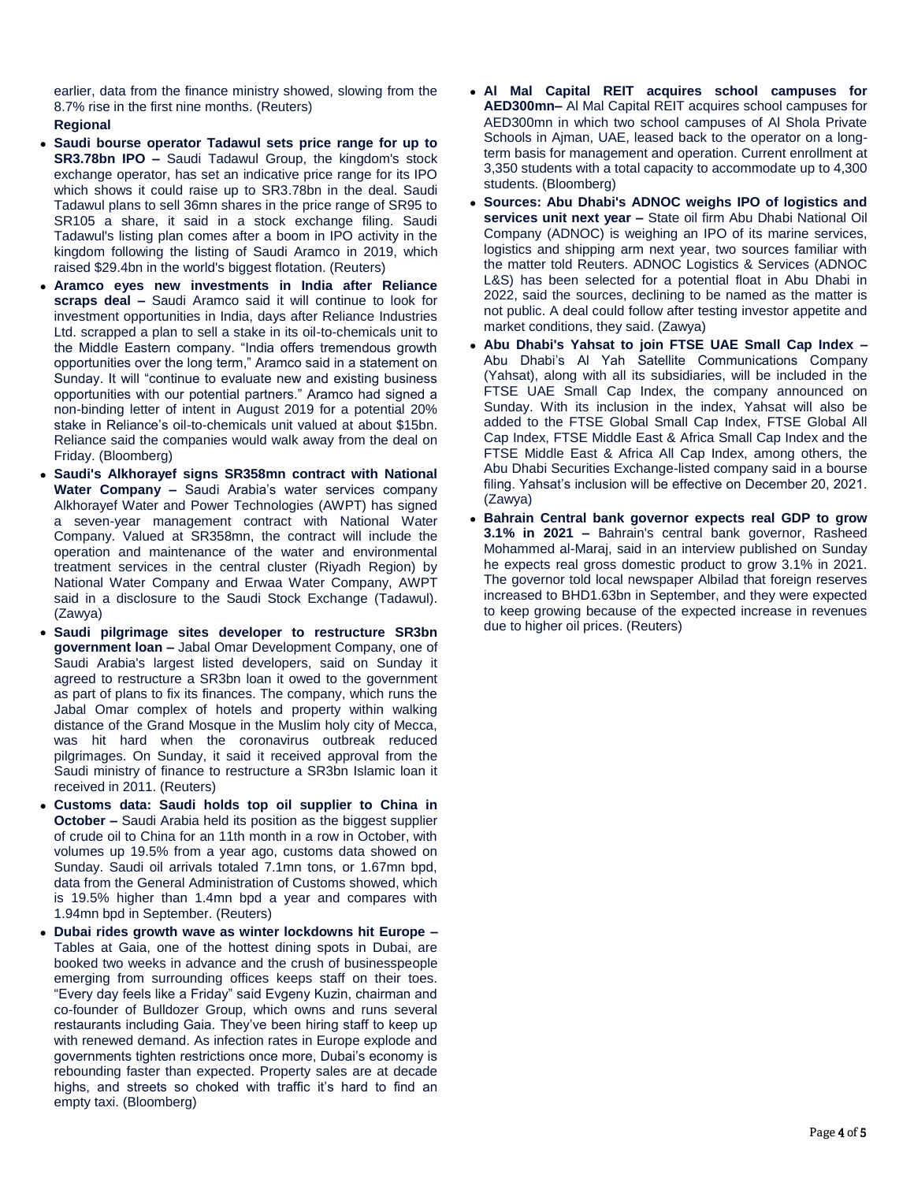earlier, data from the finance ministry showed, slowing from the 8.7% rise in the first nine months. (Reuters)

## **Regional**

- **Saudi bourse operator Tadawul sets price range for up to SR3.78bn IPO –** Saudi Tadawul Group, the kingdom's stock exchange operator, has set an indicative price range for its IPO which shows it could raise up to SR3.78bn in the deal. Saudi Tadawul plans to sell 36mn shares in the price range of SR95 to SR105 a share, it said in a stock exchange filing. Saudi Tadawul's listing plan comes after a boom in IPO activity in the kingdom following the listing of Saudi Aramco in 2019, which raised \$29.4bn in the world's biggest flotation. (Reuters)
- **Aramco eyes new investments in India after Reliance scraps deal –** Saudi Aramco said it will continue to look for investment opportunities in India, days after Reliance Industries Ltd. scrapped a plan to sell a stake in its oil-to-chemicals unit to the Middle Eastern company. "India offers tremendous growth opportunities over the long term," Aramco said in a statement on Sunday. It will "continue to evaluate new and existing business opportunities with our potential partners." Aramco had signed a non-binding letter of intent in August 2019 for a potential 20% stake in Reliance's oil-to-chemicals unit valued at about \$15bn. Reliance said the companies would walk away from the deal on Friday. (Bloomberg)
- **Saudi's Alkhorayef signs SR358mn contract with National Water Company –** Saudi Arabia's water services company Alkhorayef Water and Power Technologies (AWPT) has signed a seven-year management contract with National Water Company. Valued at SR358mn, the contract will include the operation and maintenance of the water and environmental treatment services in the central cluster (Riyadh Region) by National Water Company and Erwaa Water Company, AWPT said in a disclosure to the Saudi Stock Exchange (Tadawul). (Zawya)
- **Saudi pilgrimage sites developer to restructure SR3bn government loan –** Jabal Omar Development Company, one of Saudi Arabia's largest listed developers, said on Sunday it agreed to restructure a SR3bn loan it owed to the government as part of plans to fix its finances. The company, which runs the Jabal Omar complex of hotels and property within walking distance of the Grand Mosque in the Muslim holy city of Mecca, was hit hard when the coronavirus outbreak reduced pilgrimages. On Sunday, it said it received approval from the Saudi ministry of finance to restructure a SR3bn Islamic loan it received in 2011. (Reuters)
- **Customs data: Saudi holds top oil supplier to China in October –** Saudi Arabia held its position as the biggest supplier of crude oil to China for an 11th month in a row in October, with volumes up 19.5% from a year ago, customs data showed on Sunday. Saudi oil arrivals totaled 7.1mn tons, or 1.67mn bpd, data from the General Administration of Customs showed, which is 19.5% higher than 1.4mn bpd a year and compares with 1.94mn bpd in September. (Reuters)
- **Dubai rides growth wave as winter lockdowns hit Europe –** Tables at Gaia, one of the hottest dining spots in Dubai, are booked two weeks in advance and the crush of businesspeople emerging from surrounding offices keeps staff on their toes. "Every day feels like a Friday" said Evgeny Kuzin, chairman and co-founder of Bulldozer Group, which owns and runs several restaurants including Gaia. They've been hiring staff to keep up with renewed demand. As infection rates in Europe explode and governments tighten restrictions once more, Dubai's economy is rebounding faster than expected. Property sales are at decade highs, and streets so choked with traffic it's hard to find an empty taxi. (Bloomberg)
- **Al Mal Capital REIT acquires school campuses for AED300mn–** Al Mal Capital REIT acquires school campuses for AED300mn in which two school campuses of Al Shola Private Schools in Ajman, UAE, leased back to the operator on a longterm basis for management and operation. Current enrollment at 3,350 students with a total capacity to accommodate up to 4,300 students. (Bloomberg)
- **Sources: Abu Dhabi's ADNOC weighs IPO of logistics and services unit next year –** State oil firm Abu Dhabi National Oil Company (ADNOC) is weighing an IPO of its marine services, logistics and shipping arm next year, two sources familiar with the matter told Reuters. ADNOC Logistics & Services (ADNOC L&S) has been selected for a potential float in Abu Dhabi in 2022, said the sources, declining to be named as the matter is not public. A deal could follow after testing investor appetite and market conditions, they said. (Zawya)
- **Abu Dhabi's Yahsat to join FTSE UAE Small Cap Index –** Abu Dhabi's Al Yah Satellite Communications Company (Yahsat), along with all its subsidiaries, will be included in the FTSE UAE Small Cap Index, the company announced on Sunday. With its inclusion in the index, Yahsat will also be added to the FTSE Global Small Cap Index, FTSE Global All Cap Index, FTSE Middle East & Africa Small Cap Index and the FTSE Middle East & Africa All Cap Index, among others, the Abu Dhabi Securities Exchange-listed company said in a bourse filing. Yahsat's inclusion will be effective on December 20, 2021. (Zawya)
- **Bahrain Central bank governor expects real GDP to grow 3.1% in 2021 –** Bahrain's central bank governor, Rasheed Mohammed al-Maraj, said in an interview published on Sunday he expects real gross domestic product to grow 3.1% in 2021. The governor told local newspaper Albilad that foreign reserves increased to BHD1.63bn in September, and they were expected to keep growing because of the expected increase in revenues due to higher oil prices. (Reuters)